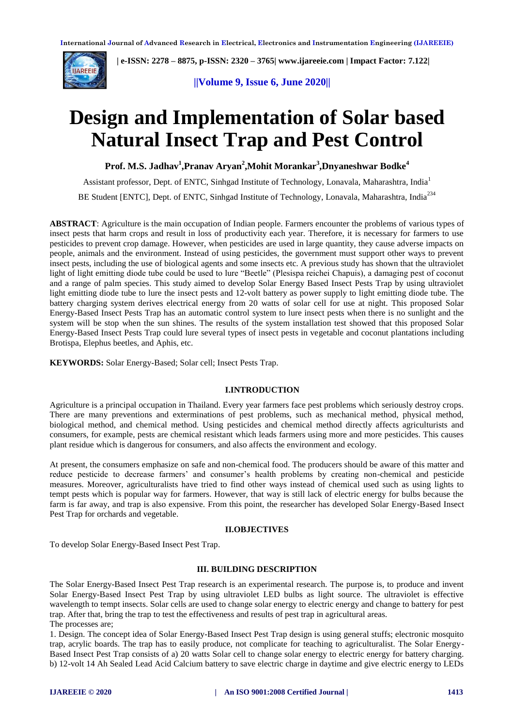

 **| e-ISSN: 2278 – 8875, p-ISSN: 2320 – 3765[| www.ijareeie.com](http://www.ijareeie.com/) | Impact Factor: 7.122|** 

 **||Volume 9, Issue 6, June 2020||** 

# **Design and Implementation of Solar based Natural Insect Trap and Pest Control**

**Prof. M.S. Jadhav<sup>1</sup> ,Pranav Aryan<sup>2</sup> ,Mohit Morankar<sup>3</sup> ,Dnyaneshwar Bodke<sup>4</sup>**

Assistant professor, Dept. of ENTC, Sinhgad Institute of Technology, Lonavala, Maharashtra, India<sup>1</sup> BE Student [ENTC], Dept. of ENTC, Sinhgad Institute of Technology, Lonavala, Maharashtra, India<sup>234</sup>

**ABSTRACT**: Agriculture is the main occupation of Indian people. Farmers encounter the problems of various types of insect pests that harm crops and result in loss of productivity each year. Therefore, it is necessary for farmers to use pesticides to prevent crop damage. However, when pesticides are used in large quantity, they cause adverse impacts on people, animals and the environment. Instead of using pesticides, the government must support other ways to prevent insect pests, including the use of biological agents and some insects etc. A previous study has shown that the ultraviolet light of light emitting diode tube could be used to lure "Beetle" (Plesispa reichei Chapuis), a damaging pest of coconut and a range of palm species. This study aimed to develop Solar Energy Based Insect Pests Trap by using ultraviolet light emitting diode tube to lure the insect pests and 12-volt battery as power supply to light emitting diode tube. The battery charging system derives electrical energy from 20 watts of solar cell for use at night. This proposed Solar Energy-Based Insect Pests Trap has an automatic control system to lure insect pests when there is no sunlight and the system will be stop when the sun shines. The results of the system installation test showed that this proposed Solar Energy-Based Insect Pests Trap could lure several types of insect pests in vegetable and coconut plantations including Brotispa, Elephus beetles, and Aphis, etc.

**KEYWORDS:** Solar Energy-Based; Solar cell; Insect Pests Trap.

#### **I.INTRODUCTION**

Agriculture is a principal occupation in Thailand. Every year farmers face pest problems which seriously destroy crops. There are many preventions and exterminations of pest problems, such as mechanical method, physical method, biological method, and chemical method. Using pesticides and chemical method directly affects agriculturists and consumers, for example, pests are chemical resistant which leads farmers using more and more pesticides. This causes plant residue which is dangerous for consumers, and also affects the environment and ecology.

At present, the consumers emphasize on safe and non-chemical food. The producers should be aware of this matter and reduce pesticide to decrease farmers' and consumer's health problems by creating non-chemical and pesticide measures. Moreover, agriculturalists have tried to find other ways instead of chemical used such as using lights to tempt pests which is popular way for farmers. However, that way is still lack of electric energy for bulbs because the farm is far away, and trap is also expensive. From this point, the researcher has developed Solar Energy-Based Insect Pest Trap for orchards and vegetable.

#### **II.OBJECTIVES**

To develop Solar Energy-Based Insect Pest Trap.

#### **III. BUILDING DESCRIPTION**

The Solar Energy-Based Insect Pest Trap research is an experimental research. The purpose is, to produce and invent Solar Energy-Based Insect Pest Trap by using ultraviolet LED bulbs as light source. The ultraviolet is effective wavelength to tempt insects. Solar cells are used to change solar energy to electric energy and change to battery for pest trap. After that, bring the trap to test the effectiveness and results of pest trap in agricultural areas. The processes are;

1. Design. The concept idea of Solar Energy-Based Insect Pest Trap design is using general stuffs; electronic mosquito trap, acrylic boards. The trap has to easily produce, not complicate for teaching to agriculturalist. The Solar Energy-Based Insect Pest Trap consists of a) 20 watts Solar cell to change solar energy to electric energy for battery charging. b) 12-volt 14 Ah Sealed Lead Acid Calcium battery to save electric charge in daytime and give electric energy to LEDs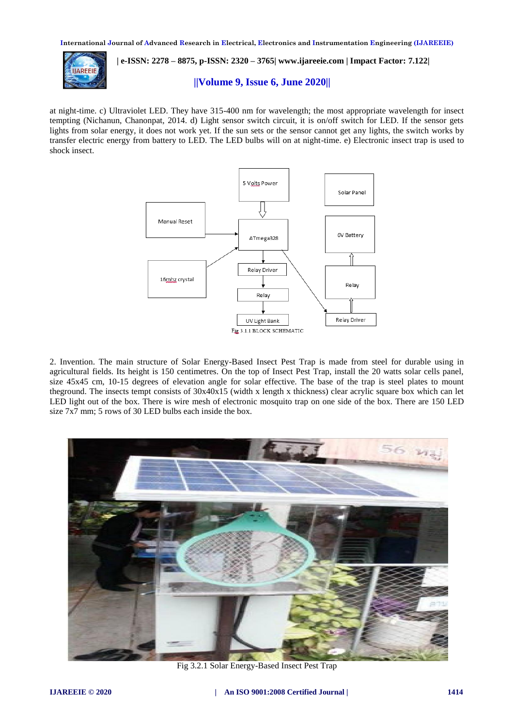

### **| e-ISSN: 2278 – 8875, p-ISSN: 2320 – 3765[| www.ijareeie.com](http://www.ijareeie.com/) | Impact Factor: 7.122|**

#### **||Volume 9, Issue 6, June 2020||**

at night-time. c) Ultraviolet LED. They have 315-400 nm for wavelength; the most appropriate wavelength for insect tempting (Nichanun, Chanonpat, 2014. d) Light sensor switch circuit, it is on/off switch for LED. If the sensor gets lights from solar energy, it does not work yet. If the sun sets or the sensor cannot get any lights, the switch works by transfer electric energy from battery to LED. The LED bulbs will on at night-time. e) Electronic insect trap is used to shock insect.



2. Invention. The main structure of Solar Energy-Based Insect Pest Trap is made from steel for durable using in agricultural fields. Its height is 150 centimetres. On the top of Insect Pest Trap, install the 20 watts solar cells panel, size 45x45 cm, 10-15 degrees of elevation angle for solar effective. The base of the trap is steel plates to mount theground. The insects tempt consists of 30x40x15 (width x length x thickness) clear acrylic square box which can let LED light out of the box. There is wire mesh of electronic mosquito trap on one side of the box. There are 150 LED size 7x7 mm; 5 rows of 30 LED bulbs each inside the box.



Fig 3.2.1 Solar Energy-Based Insect Pest Trap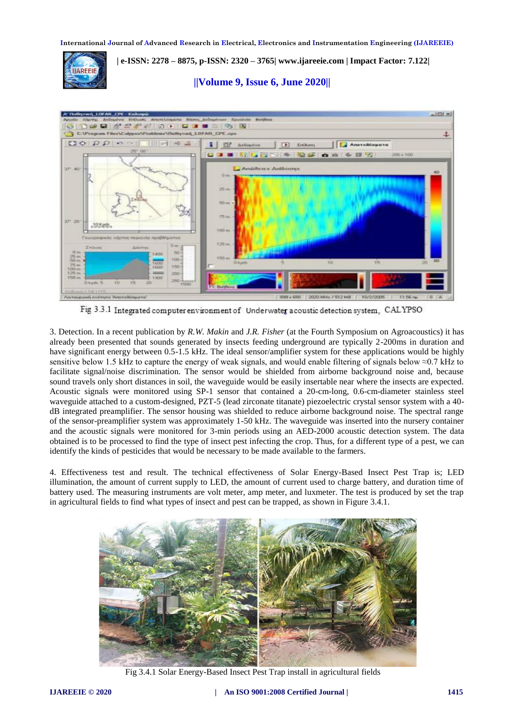

 **| e-ISSN: 2278 – 8875, p-ISSN: 2320 – 3765[| www.ijareeie.com](http://www.ijareeie.com/) | Impact Factor: 7.122|** 

 **||Volume 9, Issue 6, June 2020||** 



Fig 3.3.1 Integrated computer environment of Underwater acoustic detection system, CALYPSO

3. Detection. In a recent publication by *R.W. Makin* and *J.R. Fisher* (at the Fourth Symposium on Agroacoustics) it has already been presented that sounds generated by insects feeding underground are typically 2-200ms in duration and have significant energy between 0.5-1.5 kHz. The ideal sensor/amplifier system for these applications would be highly sensitive below 1.5 kHz to capture the energy of weak signals, and would enable filtering of signals below  $\approx 0.7$  kHz to facilitate signal/noise discrimination. The sensor would be shielded from airborne background noise and, because sound travels only short distances in soil, the waveguide would be easily insertable near where the insects are expected. Acoustic signals were monitored using SP-1 sensor that contained a 20-cm-long, 0.6-cm-diameter stainless steel waveguide attached to a custom-designed, PZT-5 (lead zirconate titanate) piezoelectric crystal sensor system with a 40 dB integrated preamplifier. The sensor housing was shielded to reduce airborne background noise. The spectral range of the sensor-preamplifier system was approximately 1-50 kHz. The waveguide was inserted into the nursery container and the acoustic signals were monitored for 3-min periods using an AED-2000 acoustic detection system. The data obtained is to be processed to find the type of insect pest infecting the crop. Thus, for a different type of a pest, we can identify the kinds of pesticides that would be necessary to be made available to the farmers.

4. Effectiveness test and result. The technical effectiveness of Solar Energy-Based Insect Pest Trap is; LED illumination, the amount of current supply to LED, the amount of current used to charge battery, and duration time of battery used. The measuring instruments are volt meter, amp meter, and luxmeter. The test is produced by set the trap in agricultural fields to find what types of insect and pest can be trapped, as shown in Figure 3.4.1.



Fig 3.4.1 Solar Energy-Based Insect Pest Trap install in agricultural fields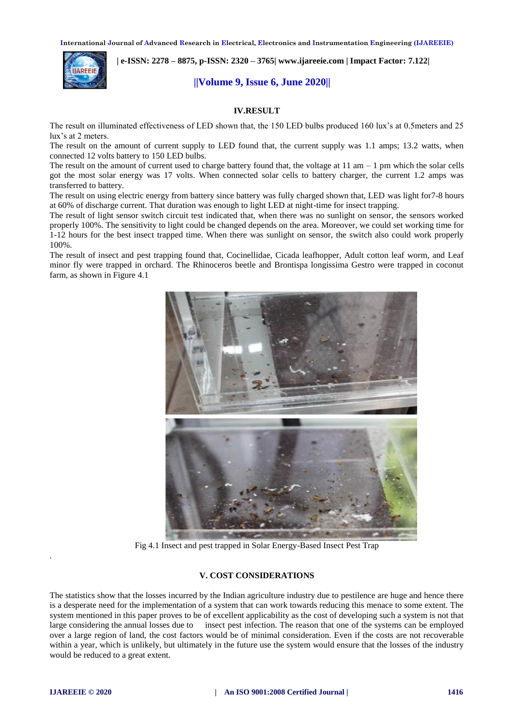

 **| e-ISSN: 2278 – 8875, p-ISSN: 2320 – 3765[| www.ijareeie.com](http://www.ijareeie.com/) | Impact Factor: 7.122|** 

#### **||Volume 9, Issue 6, June 2020||**

#### **IV.RESULT**

The result on illuminated effectiveness of LED shown that, the 150 LED bulbs produced 160 lux's at 0.5meters and 25 lux's at 2 meters.

The result on the amount of current supply to LED found that, the current supply was 1.1 amps; 13.2 watts, when connected 12 volts battery to 150 LED bulbs.

The result on the amount of current used to charge battery found that, the voltage at  $11 \text{ am} - 1 \text{ pm}$  which the solar cells got the most solar energy was 17 volts. When connected solar cells to battery charger, the current 1.2 amps was transferred to battery.

The result on using electric energy from battery since battery was fully charged shown that, LED was light for7-8 hours at 60% of discharge current. That duration was enough to light LED at night-time for insect trapping.

The result of light sensor switch circuit test indicated that, when there was no sunlight on sensor, the sensors worked properly 100%. The sensitivity to light could be changed depends on the area. Moreover, we could set working time for 1-12 hours for the best insect trapped time. When there was sunlight on sensor, the switch also could work properly 100%.

The result of insect and pest trapping found that, Cocinellidae, Cicada leafhopper, Adult cotton leaf worm, and Leaf minor fly were trapped in orchard. The Rhinoceros beetle and Brontispa longissima Gestro were trapped in coconut farm, as shown in Figure 4.1



Fig 4.1 Insect and pest trapped in Solar Energy-Based Insect Pest Trap

#### **V. COST CONSIDERATIONS**

The statistics show that the losses incurred by the Indian agriculture industry due to pestilence are huge and hence there is a desperate need for the implementation of a system that can work towards reducing this menace to some extent. The system mentioned in this paper proves to be of excellent applicability as the cost of developing such a system is not that large considering the annual losses due to insect pest infection. The reason that one of the systems can be employed over a large region of land, the cost factors would be of minimal consideration. Even if the costs are not recoverable within a year, which is unlikely, but ultimately in the future use the system would ensure that the losses of the industry would be reduced to a great extent.

.